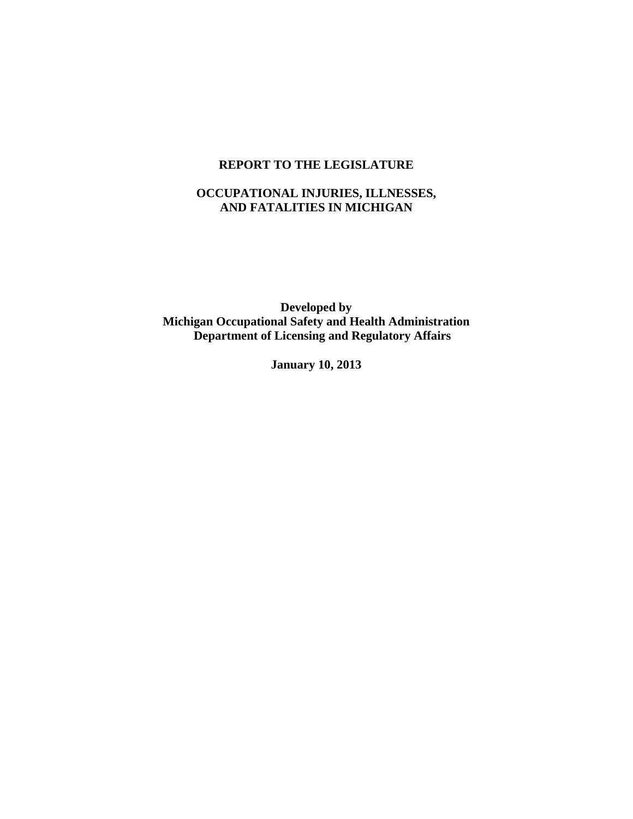### **REPORT TO THE LEGISLATURE**

# **OCCUPATIONAL INJURIES, ILLNESSES, AND FATALITIES IN MICHIGAN**

 **Developed by Michigan Occupational Safety and Health Administration Department of Licensing and Regulatory Affairs** 

 **January 10, 2013**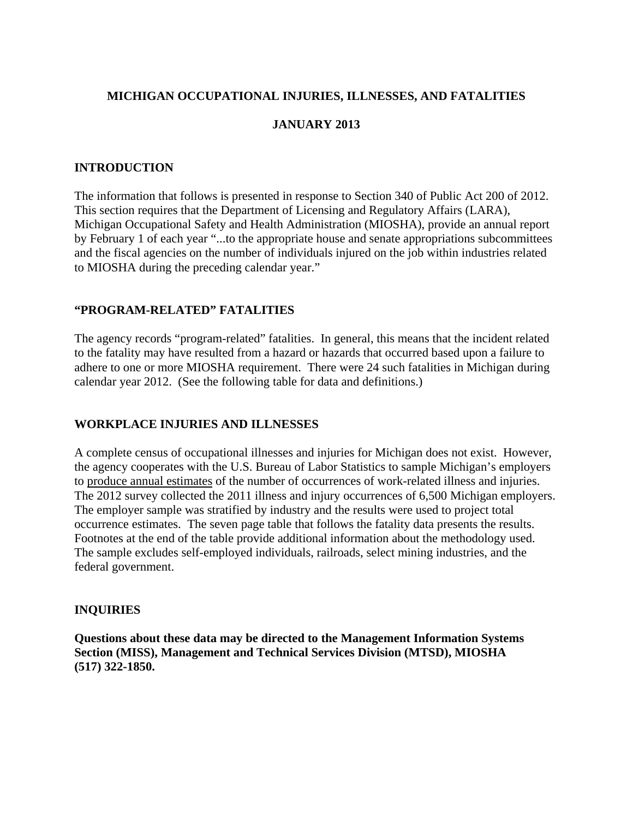# **MICHIGAN OCCUPATIONAL INJURIES, ILLNESSES, AND FATALITIES**

## **JANUARY 2013**

### **INTRODUCTION**

The information that follows is presented in response to Section 340 of Public Act 200 of 2012. This section requires that the Department of Licensing and Regulatory Affairs (LARA), Michigan Occupational Safety and Health Administration (MIOSHA), provide an annual report by February 1 of each year "...to the appropriate house and senate appropriations subcommittees and the fiscal agencies on the number of individuals injured on the job within industries related to MIOSHA during the preceding calendar year."

# **"PROGRAM-RELATED" FATALITIES**

The agency records "program-related" fatalities. In general, this means that the incident related to the fatality may have resulted from a hazard or hazards that occurred based upon a failure to adhere to one or more MIOSHA requirement. There were 24 such fatalities in Michigan during calendar year 2012. (See the following table for data and definitions.)

### **WORKPLACE INJURIES AND ILLNESSES**

A complete census of occupational illnesses and injuries for Michigan does not exist. However, the agency cooperates with the U.S. Bureau of Labor Statistics to sample Michigan's employers to produce annual estimates of the number of occurrences of work-related illness and injuries. The 2012 survey collected the 2011 illness and injury occurrences of 6,500 Michigan employers. The employer sample was stratified by industry and the results were used to project total occurrence estimates. The seven page table that follows the fatality data presents the results. Footnotes at the end of the table provide additional information about the methodology used. The sample excludes self-employed individuals, railroads, select mining industries, and the federal government.

### **INQUIRIES**

**Questions about these data may be directed to the Management Information Systems Section (MISS), Management and Technical Services Division (MTSD), MIOSHA (517) 322-1850.**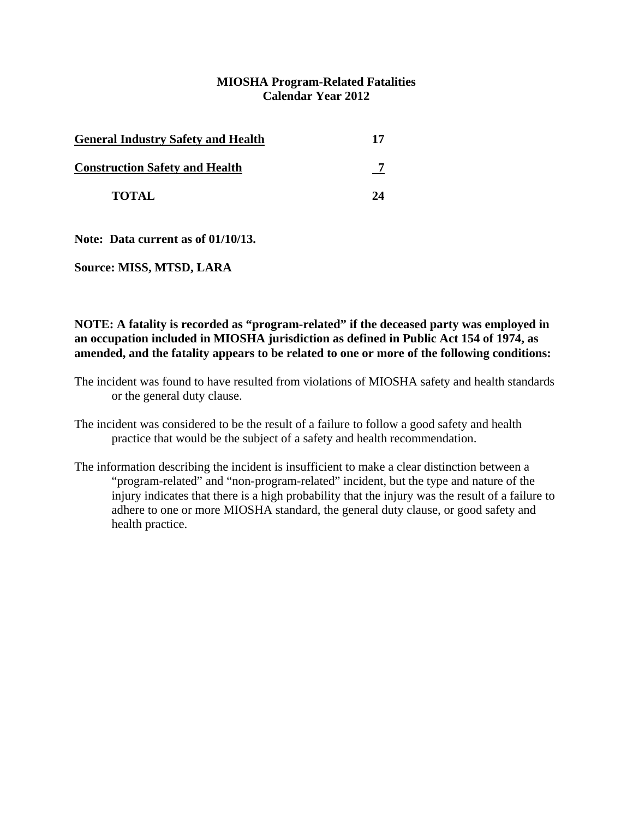### **MIOSHA Program-Related Fatalities Calendar Year 2012**

| <b>General Industry Safety and Health</b> | 17 |
|-------------------------------------------|----|
| <b>Construction Safety and Health</b>     |    |
| <b>TOTAL</b>                              | 74 |

**Note: Data current as of 01/10/13.** 

**Source: MISS, MTSD, LARA** 

### **NOTE: A fatality is recorded as "program-related" if the deceased party was employed in an occupation included in MIOSHA jurisdiction as defined in Public Act 154 of 1974, as amended, and the fatality appears to be related to one or more of the following conditions:**

- The incident was found to have resulted from violations of MIOSHA safety and health standards or the general duty clause.
- The incident was considered to be the result of a failure to follow a good safety and health practice that would be the subject of a safety and health recommendation.
- The information describing the incident is insufficient to make a clear distinction between a "program-related" and "non-program-related" incident, but the type and nature of the injury indicates that there is a high probability that the injury was the result of a failure to adhere to one or more MIOSHA standard, the general duty clause, or good safety and health practice.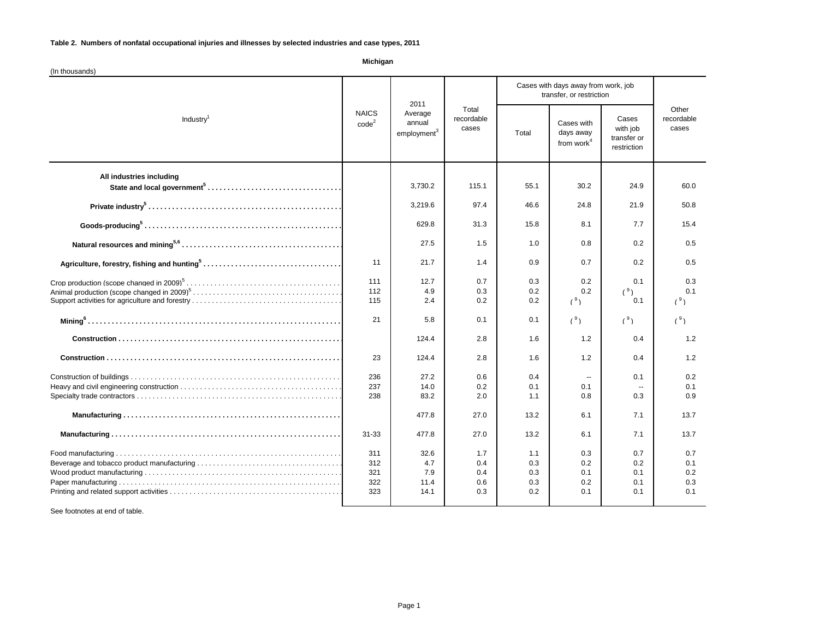**Michigan**

| (In thousands)           |                                   |                                                      |                                 |                                                                 |                                                   |                                                 |                                 |
|--------------------------|-----------------------------------|------------------------------------------------------|---------------------------------|-----------------------------------------------------------------|---------------------------------------------------|-------------------------------------------------|---------------------------------|
| Industry <sup>1</sup>    | <b>NAICS</b><br>code <sup>2</sup> | 2011<br>Average<br>annual<br>employment <sup>3</sup> | Total<br>recordable<br>cases    | Cases with days away from work, job<br>transfer, or restriction |                                                   |                                                 |                                 |
|                          |                                   |                                                      |                                 | Total                                                           | Cases with<br>days away<br>from work <sup>4</sup> | Cases<br>with job<br>transfer or<br>restriction | Other<br>recordable<br>cases    |
| All industries including |                                   | 3,730.2                                              | 115.1                           | 55.1                                                            | 30.2                                              | 24.9                                            | 60.0                            |
|                          |                                   | 3,219.6                                              | 97.4                            | 46.6                                                            | 24.8                                              | 21.9                                            | 50.8                            |
|                          |                                   | 629.8                                                | 31.3                            | 15.8                                                            | 8.1                                               | 7.7                                             | 15.4                            |
|                          |                                   | 27.5                                                 | 1.5                             | 1.0                                                             | 0.8                                               | 0.2                                             | 0.5                             |
|                          | 11                                | 21.7                                                 | 1.4                             | 0.9                                                             | 0.7                                               | 0.2                                             | 0.5                             |
|                          | 111<br>112<br>115                 | 12.7<br>4.9<br>2.4                                   | 0.7<br>0.3<br>0.2               | 0.3<br>0.2<br>0.2                                               | 0.2<br>0.2<br>(°)                                 | 0.1<br>(°)<br>0.1                               | 0.3<br>0.1<br>(°)               |
|                          | 21                                | 5.8                                                  | 0.1                             | 0.1                                                             | (°)                                               | (°)                                             | (°)                             |
|                          |                                   | 124.4                                                | 2.8                             | 1.6                                                             | $1.2$                                             | 0.4                                             | $1.2$                           |
|                          | 23                                | 124.4                                                | 2.8                             | 1.6                                                             | 1.2                                               | 0.4                                             | 1.2                             |
|                          | 236<br>237<br>238                 | 27.2<br>14.0<br>83.2                                 | 0.6<br>0.2<br>2.0               | 0.4<br>0.1<br>1.1                                               | $\sim$<br>0.1<br>0.8                              | 0.1<br>0.3                                      | 0.2<br>0.1<br>0.9               |
|                          |                                   | 477.8                                                | 27.0                            | 13.2                                                            | 6.1                                               | 7.1                                             | 13.7                            |
|                          | 31-33                             | 477.8                                                | 27.0                            | 13.2                                                            | 6.1                                               | 7.1                                             | 13.7                            |
|                          | 311<br>312<br>321<br>322<br>323   | 32.6<br>4.7<br>7.9<br>11.4<br>14.1                   | 1.7<br>0.4<br>0.4<br>0.6<br>0.3 | 1.1<br>0.3<br>0.3<br>0.3<br>0.2                                 | 0.3<br>0.2<br>0.1<br>0.2<br>0.1                   | 0.7<br>0.2<br>0.1<br>0.1<br>0.1                 | 0.7<br>0.1<br>0.2<br>0.3<br>0.1 |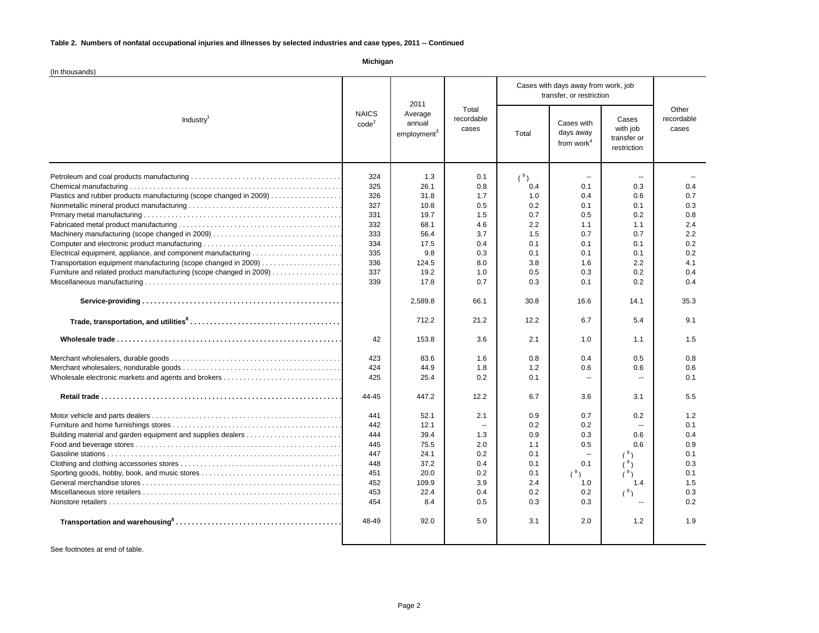**Michigan**

| (In thousands)                                                                                                                                                                                                                                                                                                                                                                 |                                                                                                                                                                                     |                                                                                                                                                                                                                                    |                                                                                                                                                                                                        |                                                                                                                                                                                                    |                                                                                                                                                                                                            |                                                                                                                                                                                                                      |                                                                                                                                                                                            |
|--------------------------------------------------------------------------------------------------------------------------------------------------------------------------------------------------------------------------------------------------------------------------------------------------------------------------------------------------------------------------------|-------------------------------------------------------------------------------------------------------------------------------------------------------------------------------------|------------------------------------------------------------------------------------------------------------------------------------------------------------------------------------------------------------------------------------|--------------------------------------------------------------------------------------------------------------------------------------------------------------------------------------------------------|----------------------------------------------------------------------------------------------------------------------------------------------------------------------------------------------------|------------------------------------------------------------------------------------------------------------------------------------------------------------------------------------------------------------|----------------------------------------------------------------------------------------------------------------------------------------------------------------------------------------------------------------------|--------------------------------------------------------------------------------------------------------------------------------------------------------------------------------------------|
| Industry <sup>1</sup>                                                                                                                                                                                                                                                                                                                                                          | <b>NAICS</b><br>code <sup>2</sup>                                                                                                                                                   | 2011<br>Average<br>annual<br>employment <sup>3</sup>                                                                                                                                                                               | Total<br>recordable<br>cases                                                                                                                                                                           | Cases with days away from work, job<br>transfer, or restriction                                                                                                                                    |                                                                                                                                                                                                            |                                                                                                                                                                                                                      |                                                                                                                                                                                            |
|                                                                                                                                                                                                                                                                                                                                                                                |                                                                                                                                                                                     |                                                                                                                                                                                                                                    |                                                                                                                                                                                                        | Total                                                                                                                                                                                              | Cases with<br>days away<br>from work <sup>4</sup>                                                                                                                                                          | Cases<br>with job<br>transfer or<br>restriction                                                                                                                                                                      | Other<br>recordable<br>cases                                                                                                                                                               |
| Plastics and rubber products manufacturing (scope changed in 2009)<br>Machinery manufacturing (scope changed in 2009)<br>Computer and electronic product manufacturing<br>Transportation equipment manufacturing (scope changed in 2009)<br>Furniture and related product manufacturing (scope changed in 2009)<br>Building material and garden equipment and supplies dealers | 324<br>325<br>326<br>327<br>331<br>332<br>333<br>334<br>335<br>336<br>337<br>339<br>42<br>423<br>424<br>425<br>44-45<br>441<br>442<br>444<br>445<br>447<br>448<br>451<br>452<br>453 | 1.3<br>26.1<br>31.8<br>10.8<br>19.7<br>68.1<br>56.4<br>17.5<br>9.8<br>124.5<br>19.2<br>17.8<br>2,589.8<br>712.2<br>153.8<br>83.6<br>44.9<br>25.4<br>447.2<br>52.1<br>12.1<br>39.4<br>75.5<br>24.1<br>37.2<br>20.0<br>109.9<br>22.4 | 0.1<br>0.8<br>1.7<br>0.5<br>1.5<br>4.6<br>3.7<br>0.4<br>0.3<br>8.0<br>1.0<br>0.7<br>66.1<br>21.2<br>3.6<br>1.6<br>1.8<br>0.2<br>12.2<br>2.1<br>$\sim$<br>1.3<br>2.0<br>0.2<br>0.4<br>0.2<br>3.9<br>0.4 | (°)<br>0.4<br>1.0<br>0.2<br>0.7<br>2.2<br>1.5<br>0.1<br>0.1<br>3.8<br>0.5<br>0.3<br>30.8<br>12.2<br>2.1<br>0.8<br>1.2<br>0.1<br>6.7<br>0.9<br>0.2<br>0.9<br>1.1<br>0.1<br>0.1<br>0.1<br>2.4<br>0.2 | $\sim$<br>0.1<br>0.4<br>0.1<br>0.5<br>1.1<br>0.7<br>0.1<br>0.1<br>1.6<br>0.3<br>0.1<br>16.6<br>6.7<br>1.0<br>0.4<br>0.6<br>$\sim$<br>3.6<br>0.7<br>0.2<br>0.3<br>0.5<br>$\sim$<br>0.1<br>(°)<br>1.0<br>0.2 | $\mathbf{u}$<br>0.3<br>0.6<br>0.1<br>0.2<br>1.1<br>0.7<br>0.1<br>0.1<br>2.2<br>0.2<br>0.2<br>14.1<br>5.4<br>1.1<br>0.5<br>0.6<br>$\ddotsc$<br>3.1<br>0.2<br>$\overline{a}$<br>0.6<br>0.6<br>(9)<br>(°)<br>1.4<br>(9) | 0.4<br>0.7<br>0.3<br>0.8<br>2.4<br>2.2<br>0.2<br>0.2<br>4.1<br>0.4<br>0.4<br>35.3<br>9.1<br>1.5<br>0.8<br>0.6<br>0.1<br>5.5<br>1.2<br>0.1<br>0.4<br>0.9<br>0.1<br>0.3<br>0.1<br>1.5<br>0.3 |
|                                                                                                                                                                                                                                                                                                                                                                                | 454                                                                                                                                                                                 | 8.4                                                                                                                                                                                                                                | 0.5                                                                                                                                                                                                    | 0.3                                                                                                                                                                                                | 0.3                                                                                                                                                                                                        | $\sim$                                                                                                                                                                                                               | 0.2                                                                                                                                                                                        |
|                                                                                                                                                                                                                                                                                                                                                                                | 48-49                                                                                                                                                                               | 92.0                                                                                                                                                                                                                               | 5.0                                                                                                                                                                                                    | 3.1                                                                                                                                                                                                | 2.0                                                                                                                                                                                                        | 1.2                                                                                                                                                                                                                  | 1.9                                                                                                                                                                                        |
|                                                                                                                                                                                                                                                                                                                                                                                |                                                                                                                                                                                     |                                                                                                                                                                                                                                    |                                                                                                                                                                                                        |                                                                                                                                                                                                    |                                                                                                                                                                                                            |                                                                                                                                                                                                                      |                                                                                                                                                                                            |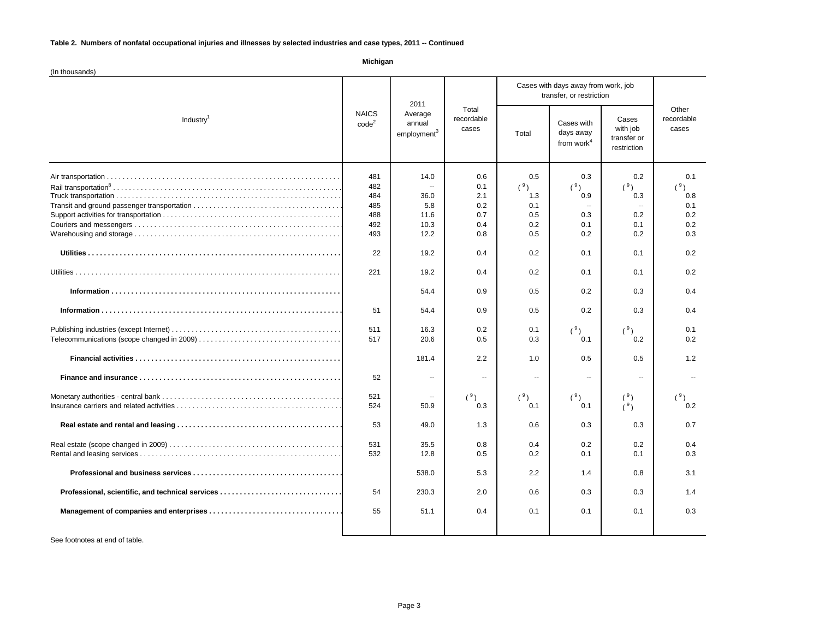**Michigan**

| (In thousands)                                   |                                                                                                                        |                                                                                                                                                                             |                                                                                                                                                                      |                                                                                                                                                    |                                                                                                                                                                         |                                                                                                                                                             |                                                                                                                                          |
|--------------------------------------------------|------------------------------------------------------------------------------------------------------------------------|-----------------------------------------------------------------------------------------------------------------------------------------------------------------------------|----------------------------------------------------------------------------------------------------------------------------------------------------------------------|----------------------------------------------------------------------------------------------------------------------------------------------------|-------------------------------------------------------------------------------------------------------------------------------------------------------------------------|-------------------------------------------------------------------------------------------------------------------------------------------------------------|------------------------------------------------------------------------------------------------------------------------------------------|
| Industry <sup>1</sup>                            | <b>NAICS</b><br>code <sup>2</sup>                                                                                      | 2011<br>Average<br>annual<br>employment <sup>3</sup>                                                                                                                        | Total<br>recordable<br>cases                                                                                                                                         | Cases with days away from work, job<br>transfer, or restriction                                                                                    |                                                                                                                                                                         |                                                                                                                                                             |                                                                                                                                          |
|                                                  |                                                                                                                        |                                                                                                                                                                             |                                                                                                                                                                      | Total                                                                                                                                              | Cases with<br>days away<br>from work <sup>4</sup>                                                                                                                       | Cases<br>with job<br>transfer or<br>restriction                                                                                                             | Other<br>recordable<br>cases                                                                                                             |
|                                                  | 481<br>482<br>484<br>485<br>488<br>492<br>493<br>22<br>221<br>51<br>511<br>517<br>52<br>521<br>524<br>53<br>531<br>532 | 14.0<br>$\ddot{\phantom{a}}$<br>36.0<br>5.8<br>11.6<br>10.3<br>12.2<br>19.2<br>19.2<br>54.4<br>54.4<br>16.3<br>20.6<br>181.4<br>Ξ.<br>50.9<br>49.0<br>35.5<br>12.8<br>538.0 | 0.6<br>0.1<br>2.1<br>0.2<br>0.7<br>0.4<br>0.8<br>0.4<br>0.4<br>0.9<br>0.9<br>0.2<br>0.5<br>2.2<br>$\overline{\phantom{a}}$<br>(°)<br>0.3<br>1.3<br>0.8<br>0.5<br>5.3 | 0.5<br>(9)<br>1.3<br>0.1<br>0.5<br>0.2<br>0.5<br>0.2<br>0.2<br>0.5<br>0.5<br>0.1<br>0.3<br>1.0<br>$\sim$<br>(°)<br>0.1<br>0.6<br>0.4<br>0.2<br>2.2 | 0.3<br>(9)<br>0.9<br>$\sim$<br>0.3<br>0.1<br>0.2<br>0.1<br>0.1<br>0.2<br>0.2<br>(9)<br>0.1<br>0.5<br>$\overline{\phantom{a}}$<br>(°)<br>0.1<br>0.3<br>0.2<br>0.1<br>1.4 | 0.2<br>(°)<br>0.3<br>$\sim$<br>0.2<br>0.1<br>0.2<br>0.1<br>0.1<br>0.3<br>0.3<br>(9)<br>0.2<br>0.5<br>$\mathbf{u}$<br>(°)<br>(°)<br>0.3<br>0.2<br>0.1<br>0.8 | 0.1<br>(9,<br>0.8<br>0.1<br>0.2<br>0.2<br>0.3<br>0.2<br>0.2<br>0.4<br>0.4<br>0.1<br>0.2<br>1.2<br>(°)<br>0.2<br>0.7<br>0.4<br>0.3<br>3.1 |
| Professional, scientific, and technical services | 54                                                                                                                     | 230.3                                                                                                                                                                       | 2.0                                                                                                                                                                  | 0.6                                                                                                                                                | 0.3                                                                                                                                                                     | 0.3                                                                                                                                                         | 1.4                                                                                                                                      |
|                                                  | 55                                                                                                                     | 51.1                                                                                                                                                                        | 0.4                                                                                                                                                                  | 0.1                                                                                                                                                | 0.1                                                                                                                                                                     | 0.1                                                                                                                                                         | 0.3                                                                                                                                      |
|                                                  |                                                                                                                        |                                                                                                                                                                             |                                                                                                                                                                      |                                                                                                                                                    |                                                                                                                                                                         |                                                                                                                                                             |                                                                                                                                          |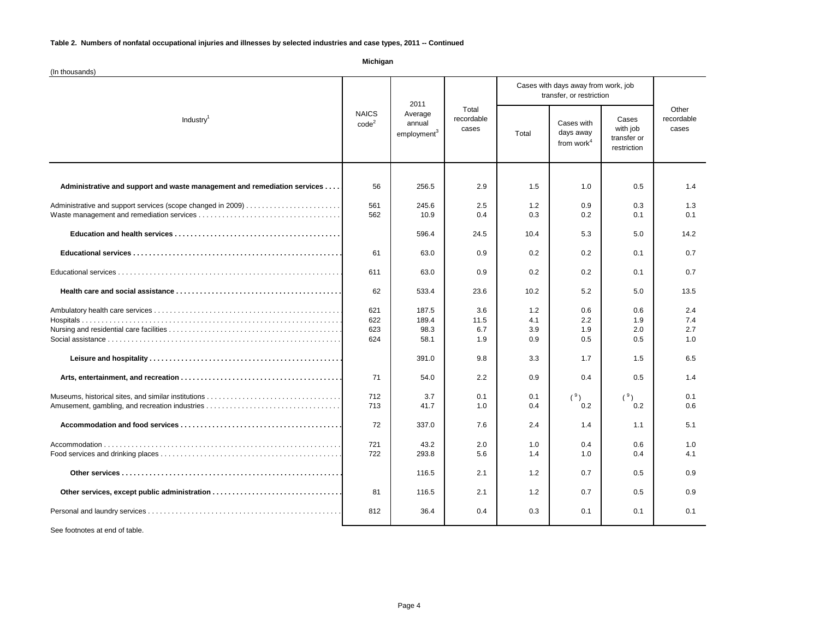(In thousands) 56 256.5 2.9 1.5 1.0 0.5 1.4 Administrative and support services (scope changed in 2009) . . . . . . . . . . . . . . . . . . . . . . . . . . . . . . . . . . . . . . . . . . . . . . . . . . . . . . . . . . . . . . . . . . . . . . . . . . . . . . . . 561 245.6 2.5 1.2 0.9 0.3 1.3 Waste management and remediation services . . . . . . . . . . . . . . . . . . . . . . . . . . . . . . . . . . . . . . . . . . . . . . . . . . . . . . . . . . . . . . . . . . . . . . . . . . . . . . . . 562 10.9 0.4 0.3 0.2 0.1 0.1 596.4 24.5 10.4 5.3 5.0 14.2 61 63.0 0.9 0.2 0.2 0.1 0.7 Educational services . . . . . . . . . . . . . . . . . . . . . . . . . . . . . . . . . . . . . . . . . . . . . . . . . . . . . . . . . . . . . . . . . . . . . . . . . . . . . . . . 611 63.00.9 0.2 0.2 0.1 0.7 62 533.4 23.6 10.2 5.2 5.0 5.0 13.5 Ambulatory health care services . . . . . . . . . . . . . . . . . . . . . . . . . . . . . . . . . . . . . . . . . . . . . . . . . . . . . . . . . . . . . . . . . . . . . . . . . . . . . . . . 621 187.5 3.6 1.2 0.6 0.6 2.4 Hospitals . . . . . . . . . . . . . . . . . . . . . . . . . . . . . . . . . . . . . . . . . . . . . . . . . . . . . . . . . . . . . . . . . . . . . . . . . . . . . . . . 622 189.4 11.5 4.1 2.2 1.9 7.4 Nursing and residential care facilities . . . . . . . . . . . . . . . . . . . . . . . . . . . . . . . . . . . . . . . . . . . . . . . . . . . . . . . . . . . . . . . . . . . . . . . . . . . . . . . . 623 98.3 6.7 3.9 1.9 2.0 2.7 Social assistance . . . . . . . . . . . . . . . . . . . . . . . . . . . . . . . . . . . . . . . . . . . . . . . . . . . . . . . . . . . . . . . . . . . . . . . . . . . . . . . . 624 58.1 1.9 0.9 0.5 0.5 1.0 391.0 9.8 3.3 1.7 1.5 6.5 71 54.0 2.2 0.9 0.4 0.5 1.4 Museums, historical sites, and similar institutions . . . . . . . . . . . . . . . . . . . . . . . . . . . . . . . . . . . . . . . . . . . . . . . . . . . . . . . . . . . . . . . . . . . . . . . . . . . . . . . . 712 3.7 0.1 0.1 ( <sup>9</sup>) ( <sup>9</sup>) 0.1 Amusement, gambling, and recreation industries . . . . . . . . . . . . . . . . . . . . . . . . . . . . . . . . . . . . . . . . . . . . . . . . . . . . . . . . . . . . . . . . . . . . . . . . . . . . . . . . 713 41.7 1.0 0.4 0.2 0.2 0.6 72 337.0 7.6 2.4 1.4 1.1 5.1 Accommodation . . . . . . . . . . . . . . . . . . . . . . . . . . . . . . . . . . . . . . . . . . . . . . . . . . . . . . . . . . . . . . . . . . . . . . . . . . . . . . . . 721 43.2 2.0 1.0 0.4 0.6 1.0 Food services and drinking places . . . . . . . . . . . . . . . . . . . . . . . . . . . . . . . . . . . . . . . . . . . . . . . . . . . . . . . . . . . . . . . . . . . . . . . . . . . . . . . . 722 293.8 5.6 1.4 1.0 0.4 4.1 116.5 2.1 1.2 0.7 0.5 0.9 81 | 116.5 | 2.1 | 1.2 | 0.7 | 0.5 | 0.9 Personal and laundry services . . . . . . . . . . . . . . . . . . . . . . . . . . . . . . . . . . . . . . . . . . . . . . . . . . . . . . . . . . . . . . . . . . . . . . . . . . . . . . . . 812 36.4 0.4 0.3 0.1 0.1 0.1  **Accommodation and food services . . . . . . . . . . . . . . . . . . . . . . . . . . . . . . . . . . . . . . . . . . . . . . . . . . . . . . . . . . . . . . . . . . . . . . . . . . . . . . . . Other services . . . . . . . . . . . . . . . . . . . . . . . . . . . . . . . . . . . . . . . . . . . . . . . . . . . . . . . . . . . . . . . . . . . . . . . . . . . . . . . . Other services, except public administration . . . . . . . . . . . . . . . . . . . . . . . . . . . . . . . . . . . . . . . . . . . . . . . . . . . . . . . . . . . . . . . . . . . . . . . . . . . . . . . .** Administrative and support and waste management and remediation services .... 6 | 256.5 | 2.9 | 1.5 | 1.0 | 0.5  **Education and health services . . . . . . . . . . . . . . . . . . . . . . . . . . . . . . . . . . . . . . . . . . . . . . . . . . . . . . . . . . . . . . . . . . . . . . . . . . . . . . . . Educational services . . . . . . . . . . . . . . . . . . . . . . . . . . . . . . . . . . . . . . . . . . . . . . . . . . . . . . . . . . . . . . . . . . . . . . . . . . . . . . . . Health care and social assistance . . . . . . . . . . . . . . . . . . . . . . . . . . . . . . . . . . . . . . . . . . . . . . . . . . . . . . . . . . . . . . . . . . . . . . . . . . . . . . . . Leisure and hospitality . . . . . . . . . . . . . . . . . . . . . . . . . . . . . . . . . . . . . . . . . . . . . . . . . . . . . . . . . . . . . . . . . . . . . . . . . . . . . . . . Arts, entertainment, and recreation . . . . . . . . . . . . . . . . . . . . . . . . . . . . . . . . . . . . . . . . . . . . . . . . . . . . . . . . . . . . . . . . . . . . . . . . . . . . . . . . Michigan** Industry<sup>1</sup> NAICS  $code<sup>2</sup>$ 2011 Average annual employment<sup>3</sup> Total recordable cases Cases with days away from work, job transfer, or restriction **Other** recordable Total days away with job cases Cases with from work $<sup>4</sup>$ </sup> Cases with job transfer or restriction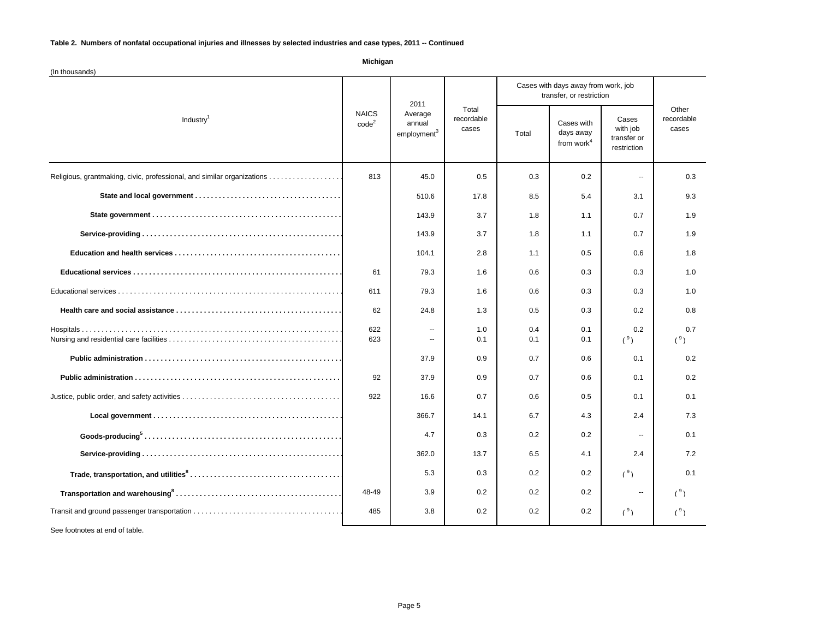(In thousands) Religious, grantmaking, civic, professional, and similar organizations . . . . . . . . . . . . . . . . . . . . . . . . . . . . . . . . . . . . . . . . . . . . . . . . . . . . . . . . . . . . . . . . . . . . . . . . . . . . . . . . 813 45.0 0.5 0.3 0.2 -- 0.3 510.6 17.8 8.5 5.4 3.1 9.3 143.9 3.7 1.8 1.1 0.7 1.9 143.9 3.7 1.8 1.1 0.7 1.9 104.1 | 2.8 | 1.1 | 0.5 | 0.6 | 1.8 61 79.3 1.6 0.6 0.3 0.3 1.0 Educational services . . . . . . . . . . . . . . . . . . . . . . . . . . . . . . . . . . . . . . . . . . . . . . . . . . . . . . . . . . . . . . . . . . . . . . . . . . . . . . . . 611 79.31.6 0.6 0.3 0.3 1.0 62 24.8 1.3 0.5 0.3 0.2 0.8 Hospitals . . . . . . . . . . . . . . . . . . . . . . . . . . . . . . . . . . . . . . . . . . . . . . . . . . . . . . . . . . . . . . . . . . . . . . . . . . . . . . . . 622 -- 1.0 0.4 0.1 0.2 0.7 Nursing and residential care facilities . . . . . . . . . . . . . . . . . . . . . . . . . . . . . . . . . . . . . . . . . . . . . . . . . . . . . . . . . . . . . . . . . . . . . . . . . . . . . . . . 623 -- 0.1 0.1 0.1 ( <sup>9</sup>) ( <sup>9</sup>) 37.9 0.9 0.7 0.6 0.1 0.2 92 37.9 0.9 0.7 0.6 0.1 0.2 Justice, public order, and safety activities . . . . . . . . . . . . . . . . . . . . . . . . . . . . . . . . . . . . . . . . . . . . . . . . . . . . . . . . . . . . . . . . . . . . . . . . . . . . . . . . 922 16.6 0.7 0.6 0.5 0.1 0.1 366.7 14.1 6.7 4.3 2.4 7.3 4.7 0.3 0.2 0.2 -- 0.1 362.0 13.7 6.5 4.1 2.4 7.2 5.3 0.3 0.2 0.2  $(9)$  0.1 48-49 3.9 0.2 0.2 0.2 -- (<sup>9</sup>) Transit and ground passenger transportation . . . . . . . . . . . . . . . . . . . . . . . . . . . . . . . . . . . . . . . . . . . . . . . . . . . . . . . . . . . . . . . . . . . . . . . . . . . . . . . . 485 3.8 0.2 0.2 0.2 ( <sup>9</sup>) ( <sup>9</sup>)  **Goods-producing<sup>5</sup> . . . . . . . . . . . . . . . . . . . . . . . . . . . . . . . . . . . . . . . . . . . . . . . . . . . . . . . . . . . . . . . . . . . . . . . . . . . . . . . . Service-providing . . . . . . . . . . . . . . . . . . . . . . . . . . . . . . . . . . . . . . . . . . . . . . . . . . . . . . . . . . . . . . . . . . . . . . . . . . . . . . . . Trade, transportation, and utilities<sup>8</sup> . . . . . . . . . . . . . . . . . . . . . . . . . . . . . . . . . . . . . . . . . . . . . . . . . . . . . . . . . . . . . . . . . . . . . . . . . . . . . . . . Transportation and warehousing<sup>8</sup> . . . . . . . . . . . . . . . . . . . . . . . . . . . . . . . . . . . . . . . . . . . . . . . . . . . . . . . . . . . . . . . . . . . . . . . . . . . . . . . . Education and health services . . . . . . . . . . . . . . . . . . . . . . . . . . . . . . . . . . . . . . . . . . . . . . . . . . . . . . . . . . . . . . . . . . . . . . . . . . . . . . . . Educational services . . . . . . . . . . . . . . . . . . . . . . . . . . . . . . . . . . . . . . . . . . . . . . . . . . . . . . . . . . . . . . . . . . . . . . . . . . . . . . . . Health care and social assistance . . . . . . . . . . . . . . . . . . . . . . . . . . . . . . . . . . . . . . . . . . . . . . . . . . . . . . . . . . . . . . . . . . . . . . . . . . . . . . . . Public administration . . . . . . . . . . . . . . . . . . . . . . . . . . . . . . . . . . . . . . . . . . . . . . . . . . . . . . . . . . . . . . . . . . . . . . . . . . . . . . . . Public administration . . . . . . . . . . . . . . . . . . . . . . . . . . . . . . . . . . . . . . . . . . . . . . . . . . . . . . . . . . . . . . . . . . . . . . . . . . . . . . . . Local government . . . . . . . . . . . . . . . . . . . . . . . . . . . . . . . . . . . . . . . . . . . . . . . . . . . . . . . . . . . . . . . . . . . . . . . . . . . . . . . .** Total Cases with days away from work $<sup>4</sup>$ </sup> Cases with job transfer or restriction  **State and local government . . . . . . . . . . . . . . . . . . . . . . . . . . . . . . . . . . . . . . . . . . . . . . . . . . . . . . . . . . . . . . . . . . . . . . . . . . . . . . . . State government . . . . . . . . . . . . . . . . . . . . . . . . . . . . . . . . . . . . . . . . . . . . . . . . . . . . . . . . . . . . . . . . . . . . . . . . . . . . . . . . Service-providing . . . . . . . . . . . . . . . . . . . . . . . . . . . . . . . . . . . . . . . . . . . . . . . . . . . . . . . . . . . . . . . . . . . . . . . . . . . . . . . . Michigan** Industry<sup>1</sup> NAICS  $code<sup>2</sup>$ 2011 Average annual employment<sup>3</sup> Total recordable cases Cases with days away from work, job transfer, or restriction **Other** recordable cases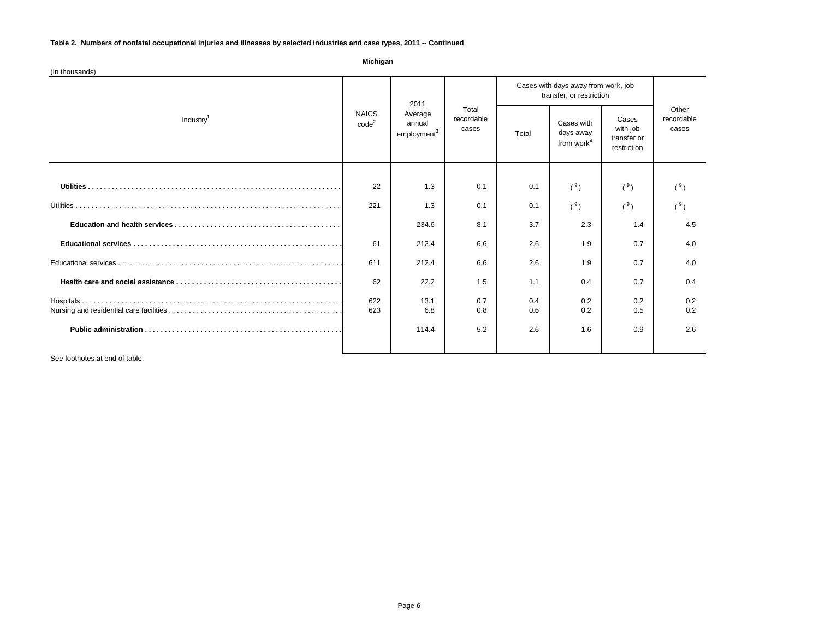| Michigan<br>(In thousands) |                          |                                                      |                              |                                                                 |                                          |                                                 |                              |
|----------------------------|--------------------------|------------------------------------------------------|------------------------------|-----------------------------------------------------------------|------------------------------------------|-------------------------------------------------|------------------------------|
| Industry <sup>1</sup>      | <b>NAICS</b><br>$code^2$ | 2011<br>Average<br>annual<br>employment <sup>3</sup> | Total<br>recordable<br>cases | Cases with days away from work, job<br>transfer, or restriction |                                          |                                                 |                              |
|                            |                          |                                                      |                              | Total                                                           | Cases with<br>days away<br>from work $4$ | Cases<br>with job<br>transfer or<br>restriction | Other<br>recordable<br>cases |
|                            |                          |                                                      |                              |                                                                 |                                          |                                                 |                              |
|                            | 22                       | 1.3                                                  | 0.1                          | 0.1                                                             | (9)                                      | (9)                                             | (°)                          |
|                            | 221                      | 1.3                                                  | 0.1                          | 0.1                                                             | (°)                                      | (°)                                             | (°)                          |
|                            |                          | 234.6                                                | 8.1                          | 3.7                                                             | 2.3                                      | 1.4                                             | 4.5                          |
|                            | 61                       | 212.4                                                | 6.6                          | 2.6                                                             | 1.9                                      | 0.7                                             | 4.0                          |
|                            | 611                      | 212.4                                                | 6.6                          | 2.6                                                             | 1.9                                      | 0.7                                             | 4.0                          |
|                            | 62                       | 22.2                                                 | 1.5                          | 1.1                                                             | 0.4                                      | 0.7                                             | 0.4                          |
|                            | 622<br>623               | 13.1<br>6.8                                          | 0.7<br>0.8                   | 0.4<br>0.6                                                      | 0.2<br>0.2                               | 0.2<br>0.5                                      | 0.2<br>0.2                   |
|                            |                          | 114.4                                                | 5.2                          | 2.6                                                             | 1.6                                      | 0.9                                             | 2.6                          |
|                            |                          |                                                      |                              |                                                                 |                                          |                                                 |                              |